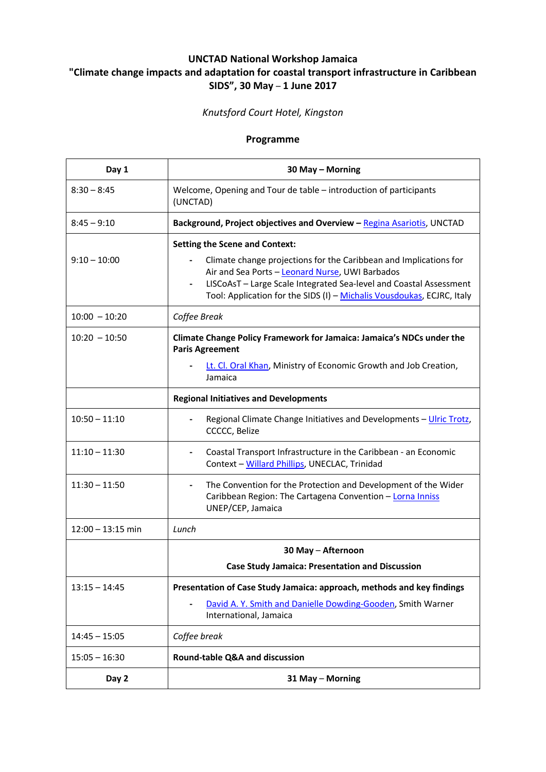## **UNCTAD National Workshop Jamaica "Climate change impacts and adaptation for coastal transport infrastructure in Caribbean SIDS", 30 May** – **1 June 2017**

## *Knutsford Court Hotel, Kingston*

## **Programme**

| Day 1               | 30 May - Morning                                                                                                                                                                                                                    |
|---------------------|-------------------------------------------------------------------------------------------------------------------------------------------------------------------------------------------------------------------------------------|
| $8:30 - 8:45$       | Welcome, Opening and Tour de table - introduction of participants<br>(UNCTAD)                                                                                                                                                       |
| $8:45 - 9:10$       | Background, Project objectives and Overview - Regina Asariotis, UNCTAD                                                                                                                                                              |
| $9:10 - 10:00$      | <b>Setting the Scene and Context:</b><br>Climate change projections for the Caribbean and Implications for<br>Air and Sea Ports - Leonard Nurse, UWI Barbados<br>LISCoAsT - Large Scale Integrated Sea-level and Coastal Assessment |
| $10:00 - 10:20$     | Tool: Application for the SIDS (I) - Michalis Vousdoukas, ECJRC, Italy<br>Coffee Break                                                                                                                                              |
| $10:20 - 10:50$     | Climate Change Policy Framework for Jamaica: Jamaica's NDCs under the<br><b>Paris Agreement</b><br>Lt. Cl. Oral Khan, Ministry of Economic Growth and Job Creation,<br>Jamaica                                                      |
|                     | <b>Regional Initiatives and Developments</b>                                                                                                                                                                                        |
| $10:50 - 11:10$     | Regional Climate Change Initiatives and Developments - Ulric Trotz,<br>CCCCC, Belize                                                                                                                                                |
| $11:10 - 11:30$     | Coastal Transport Infrastructure in the Caribbean - an Economic<br>Context - Willard Phillips, UNECLAC, Trinidad                                                                                                                    |
| $11:30 - 11:50$     | The Convention for the Protection and Development of the Wider<br>Caribbean Region: The Cartagena Convention - Lorna Inniss<br>UNEP/CEP, Jamaica                                                                                    |
| $12:00 - 13:15$ min | Lunch                                                                                                                                                                                                                               |
|                     | 30 May - Afternoon                                                                                                                                                                                                                  |
|                     | <b>Case Study Jamaica: Presentation and Discussion</b>                                                                                                                                                                              |
| $13:15 - 14:45$     | Presentation of Case Study Jamaica: approach, methods and key findings<br>David A. Y. Smith and Danielle Dowding-Gooden, Smith Warner<br>International, Jamaica                                                                     |
| $14:45 - 15:05$     | Coffee break                                                                                                                                                                                                                        |
| $15:05 - 16:30$     | Round-table Q&A and discussion                                                                                                                                                                                                      |
| Day 2               | 31 May - Morning                                                                                                                                                                                                                    |